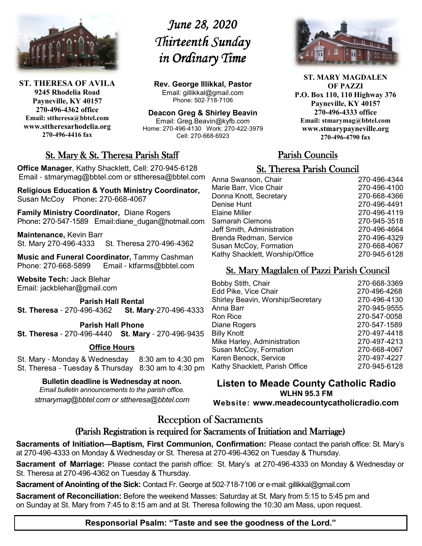

**ST. THERESA OF AVILA 9245 Rhodelia Road Payneville, KY 40157 270-496-4362 office Email: sttheresa@bbtel.com www.sttheresarhodelia.org 270-496-4416 fax**

# *June 28, 2020 Thirteenth Sunday Thirteenth Sunday in Ordinary Time*

**Rev. George Illikkal, Pastor** Email: gillikkal@gmail.com Phone: 502-718-7106

**Deacon Greg & Shirley Beavin** Email: Greg.Beavin@kyfb.com Home: 270-496-4130 Work: 270-422-3979 Cell: 270-668-6923



**ST. MARY MAGDALEN OF PAZZI P.O. Box 110, 110 Highway 376 Payneville, KY 40157 270-496-4333 office Email: stmarymag@bbtel.com www.stmarypayneville.org 270-496-4790 fax**

# St. Mary & St. Theresa Parish Staff

**Office Manager**, Kathy Shacklett, Cell: 270-945-6128 Email - stmarymag@bbtel.com or sttheresa@bbtel.com

**Religious Education & Youth Ministry Coordinator,**  Susan McCoy Phone**:** 270-668-4067

**Family Ministry Coordinator,** Diane Rogers Phone**:** 270-547-1589 Email:diane\_dugan@hotmail.com

**Maintenance,** Kevin Barr St. Mary 270-496-4333 St. Theresa 270-496-4362

**Music and Funeral Coordinator, Tammy Cashman Phone: 270-668-5899 Email - ktfarms@bbtel.com** Email - ktfarms@bbtel.com

**Website Tech:** Jack Blehar Email: jackblehar@gmail.com

**Parish Hall Rental St. Theresa** - 270-496-4362 **St. Mary**-270-496-4333

#### **Parish Hall Phone**

**St. Theresa** - 270-496-4440 **St. Mary** - 270-496-9435

#### **Office Hours**

St. Mary - Monday & Wednesday 8:30 am to 4:30 pm St. Theresa - Tuesday & Thursday 8:30 am to 4:30 pm

**Bulletin deadline is Wednesday at noon.**

*Email bulletin announcements to the parish office. stmarymag@bbtel.com or sttheresa@bbtel.com*

# Parish Councils

### **St. Theresa Parish Council**

| Anna Swanson, Chair             | 270-496-4344 |
|---------------------------------|--------------|
| Marie Barr, Vice Chair          | 270-496-4100 |
| Donna Knott, Secretary          | 270-668-4366 |
| Denise Hunt                     | 270-496-4491 |
| Elaine Miller                   | 270-496-4119 |
| Samarah Clemons                 | 270-945-3518 |
| Jeff Smith, Administration      | 270-496-4664 |
| Brenda Redman, Service          | 270-496-4329 |
| Susan McCoy, Formation          | 270-668-4067 |
| Kathy Shacklett, Worship/Office | 270-945-6128 |
|                                 |              |

# St. Mary Magdalen of Pazzi Parish Council

| <b>Bobby Stith, Chair</b>         | 270-668-3369 |
|-----------------------------------|--------------|
| Edd Pike, Vice Chair              | 270-496-4268 |
| Shirley Beavin, Worship/Secretary | 270-496-4130 |
| Anna Barr                         | 270-945-9555 |
| Ron Rice                          | 270-547-0058 |
| Diane Rogers                      | 270-547-1589 |
| <b>Billy Knott</b>                | 270-497-4418 |
| Mike Harley, Administration       | 270-497-4213 |
| Susan McCoy, Formation            | 270-668-4067 |
| Karen Benock, Service             | 270-497-4227 |
| Kathy Shacklett, Parish Office    | 270-945-6128 |
|                                   |              |

**Listen to Meade County Catholic Radio WLHN 95.3 FM Website: www.meadecountycatholicradio.com**

# Reception of Sacraments

## (Parish Registration is required for Sacraments of Initiation and Marriage)

**Sacraments of Initiation—Baptism, First Communion, Confirmation:** Please contact the parish office: St. Mary's at 270-496-4333 on Monday & Wednesday or St. Theresa at 270-496-4362 on Tuesday & Thursday.

**Sacrament of Marriage:** Please contact the parish office: St. Mary's at 270-496-4333 on Monday & Wednesday or St. Theresa at 270-496-4362 on Tuesday & Thursday.

**Sacrament of Anointing of the Sick:** Contact Fr. George at 502-718-7106 or e-mail: gillikkal@gmail.com

**Sacrament of Reconciliation:** Before the weekend Masses: Saturday at St. Mary from 5:15 to 5:45 pm and on Sunday at St. Mary from 7:45 to 8:15 am and at St. Theresa following the 10:30 am Mass, upon request.

# **Responsorial Psalm: "Taste and see the goodness of the Lord."**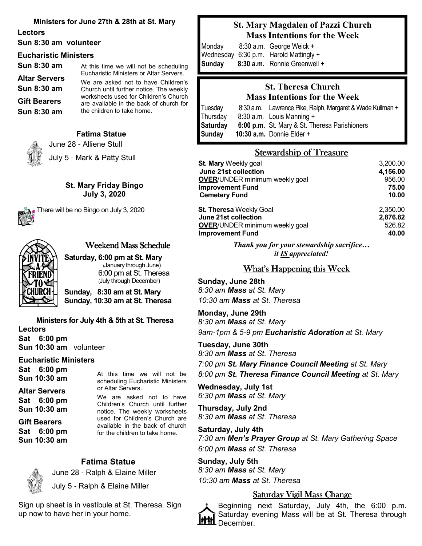#### **Ministers for June 27th & 28th at St. Mary**

**Lectors**

#### **Sun 8:30 am volunteer**

#### **Eucharistic Ministers**

| At this time we will not be scheduling                                           |
|----------------------------------------------------------------------------------|
| Eucharistic Ministers or Altar Servers.                                          |
| We are asked not to have Children's                                              |
| Church until further notice. The weekly                                          |
| worksheets used for Children's Church<br>are available in the back of church for |
| the children to take home.                                                       |
|                                                                                  |

**Fatima Statue** 

June 28 - Alliene Stull

July 5 - Mark & Patty Stull

#### **St. Mary Friday Bingo July 3, 2020**



There will be no Bingo on July 3, 2020



#### Weekend Mass Schedule

**Saturday, 6:00 pm at St. Mary** (January through June) 6:00 pm at St. Theresa (July through December)

**Sunday, 8:30 am at St. Mary Sunday, 10:30 am at St. Theresa**

# **Ministers for July 4th & 5th at St. Theresa**

**Lectors Sat 6:00 pm Sun 10:30 am** volunteer

#### **Eucharistic Ministers**

**Sat 6:00 pm Sun 10:30 am**

**Altar Servers Sat 6:00 pm**

**Sun 10:30 am** 

**Gift Bearers Sat 6:00 pm Sun 10:30 am**  At this time we will not be scheduling Eucharistic Ministers or Altar Servers.

We are asked not to have Children's Church until further notice. The weekly worksheets used for Children's Church are available in the back of church for the children to take home.

# **Fatima Statue**



 June 28 - Ralph & Elaine Miller July 5 - Ralph & Elaine Miller

Sign up sheet is in vestibule at St. Theresa. Sign up now to have her in your home.

# **St. Mary Magdalen of Pazzi Church Mass Intentions for the Week**

Monday8:30 a.m. George Weick + Wednesday 6:30 p.m. Harold Mattingly + **Sunday 8:30 a.m.** Ronnie Greenwell +

# **St. Theresa Church Mass Intentions for the Week**

Tuesday 8:30 a.m. Lawrence Pike, Ralph, Margaret & Wade Kullman + Thursday 8:30 a.m. Louis Manning + **Saturday 6:00 p.m.** St. Mary & St. Theresa Parishioners **Sunday 10:30 a.m.** Donnie Elder +

# Stewardship of Treasure

| <b>St. Mary Weekly goal</b>           | 3,200.00 |
|---------------------------------------|----------|
| June 21st collection                  | 4,156.00 |
| <b>OVER/UNDER minimum weekly goal</b> | 956.00   |
| <b>Improvement Fund</b>               | 75.00    |
| <b>Cemetery Fund</b>                  | 10.00    |
| <b>St. Theresa Weekly Goal</b>        | 2,350.00 |
| June 21st collection                  | 2,876.82 |
| <b>OVER/UNDER minimum weekly goal</b> | 526.82   |
| <b>Improvement Fund</b>               | 40.00    |

*Thank you for your stewardship sacrifice… it IS appreciated!*

# What's Happening this Week

**Sunday, June 28th** *8:30 am Mass at St. Mary 10:30 am Mass at St. Theresa*

**Monday, June 29th** *8:30 am Mass at St. Mary 9am*-*1pm & 5*-*9 pm Eucharistic Adoration at St. Mary*

**Tuesday, June 30th**

*8:30 am Mass at St. Theresa*

*7:00 pm St. Mary Finance Council Meeting at St. Mary 8:00 pm St. Theresa Finance Council Meeting at St. Mary*

**Wednesday, July 1st** *6:30 pm Mass at St. Mary*

**Thursday, July 2nd** *8:30 am Mass at St. Theresa*

**Saturday, July 4th** *7:30 am Men's Prayer Group at St. Mary Gathering Space 6:00 pm Mass at St. Theresa*

**Sunday, July 5th** *8:30 am Mass at St. Mary 10:30 am Mass at St. Theresa*

### Saturday Vigil Mass Change

Beginning next Saturday, July 4th, the 6:00 p.m. Saturday evening Mass will be at St. Theresa through December.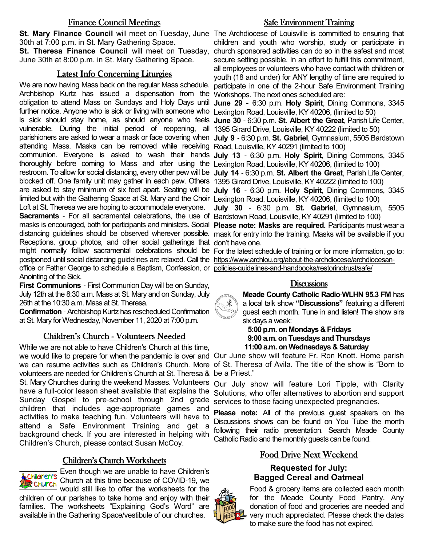### Finance Council Meetings

30th at 7:00 p.m. in St. Mary Gathering Space.

June 30th at 8:00 p.m. in St. Mary Gathering Space.

### Latest Info Concerning Liturgies

Archbishop Kurtz has issued a dispensation from the Workshops. The next ones scheduled are: obligation to attend Mass on Sundays and Holy Days until **June 29 -** 6:30 p.m. **Holy Spirit**, Dining Commons, 3345 further notice. Anyone who is sick or living with someone who Lexington Road, Louisville, KY 40206, (limited to 50) is sick should stay home, as should anyone who feels **June 30** - 6:30 p.m. **St. Albert the Great**, Parish Life Center, vulnerable. During the initial period of reopening, all 1395 Girard Drive, Louisville, KY 40222 (limited to 50) parishioners are asked to wear a mask or face covering when **July 9** - 6:30 p.m. **St. Gabriel**, Gymnasium, 5505 Bardstown attending Mass. Masks can be removed while receiving Road, Louisville, KY 40291 (limited to 100) communion. Everyone is asked to wash their hands **July 13** - 6:30 p.m. **Holy Spirit**, Dining Commons, 3345 thoroughly before coming to Mass and after using the Lexington Road, Louisville, KY 40206, (limited to 100) restroom. To allow for social distancing, every other pew will be **July 14** - 6:30 p.m. **St. Albert the Great**, Parish Life Center, blocked off. One family unit may gather in each pew. Others 1395 Girard Drive, Louisville, KY 40222 (limited to 100) are asked to stay minimum of six feet apart. Seating will be **July 16** - 6:30 p.m. **Holy Spirit**, Dining Commons, 3345 limited but with the Gathering Space at St. Mary and the Choir Lexington Road, Louisville, KY 40206, (limited to 100) Loft at St. Theresa we are hoping to accommodate everyone.

Sacraments - For all sacramental celebrations, the use of Bardstown Road, Louisville, KY 40291 (limited to 100) masks is encouraged, both for participants and ministers. Social **Please note: Masks are required.** Participants must wear a distancing guidelines should be observed wherever possible. mask for entry into the training. Masks will be available if you Receptions, group photos, and other social gatherings that don't have one. might normally follow sacramental celebrations should be For the latest schedule of training or for more information, go to: postponed until social distancing guidelines are relaxed. Call the https://www.archlou.org/about-the-archdiocese/archdiocesanoffice or Father George to schedule a Baptism, Confession, or policies-guidelines-and-handbooks/restoringtrust/safe/ Anointing of the Sick.

**First Communions** - First Communion Day will be on Sunday, July 12th at the 8:30 a.m. Mass at St. Mary and on Sunday, July 26th at the 10:30 a.m. Mass at St. Theresa.

**Confirmation** - Archbishop Kurtz has rescheduled Confirmation at St. Mary for Wednesday, November 11, 2020 at 7:00 p.m.

### Children's Church - Volunteers Needed

While we are not able to have Children's Church at this time, we would like to prepare for when the pandemic is over and Our June show will feature Fr. Ron Knott. Home parish we can resume activities such as Children's Church. More of St. Theresa of Avila. The title of the show is "Born to volunteers are needed for Children's Church at St. Theresa & be a Priest." St. Mary Churches during the weekend Masses. Volunteers have a full-color lesson sheet available that explains the Sunday Gospel to pre-school through 2nd grade children that includes age-appropriate games and activities to make teaching fun. Volunteers will have to attend a Safe Environment Training and get a background check. If you are interested in helping with Children's Church, please contact Susan McCoy.

### Children's Church Worksheets

Even though we are unable to have Children's Church at this time because of COVID-19, we

would still like to offer the worksheets for the children of our parishes to take home and enjoy with their families. The worksheets "Explaining God's Word" are available in the Gathering Space/vestibule of our churches.

### **Safe Environment Training**

St. Mary Finance Council will meet on Tuesday, June The Archdiocese of Louisville is committed to ensuring that St. Theresa Finance Council will meet on Tuesday, church sponsored activities can do so in the safest and most We are now having Mass back on the regular Mass schedule. participate in one of the 2-hour Safe Environment Training children and youth who worship, study or participate in secure setting possible. In an effort to fulfill this commitment, all employees or volunteers who have contact with children or youth (18 and under) for ANY lengthy of time are required to

**July 30** - 6:30 p.m. **St. Gabriel**, Gymnasium, 5505

### **Discussions**

**Meade County Catholic Radio**-**WLHN 95.3 FM** has a local talk show **"Discussions"** featuring a different guest each month. Tune in and listen! The show airs six days a week:

 **5:00 p.m. on Mondays & Fridays 9:00 a.m. on Tuesdays and Thursdays 11:00 a.m. on Wednesdays & Saturday**

Our July show will feature Lori Tipple, with Clarity Solutions, who offer alternatives to abortion and support services to those facing unexpected pregnancies.

**Please note:** All of the previous guest speakers on the Discussions shows can be found on You Tube the month following their radio presentation. Search Meade County Catholic Radio and the monthly guests can be found.

## Food Drive Next Weekend

### **Requested for July: Bagged Cereal and Oatmeal**



Food & grocery items are collected each month for the Meade County Food Pantry. Any donation of food and groceries are needed and very much appreciated. Please check the dates to make sure the food has not expired.